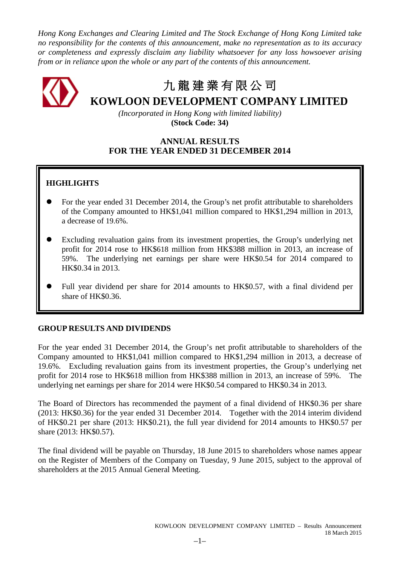*Hong Kong Exchanges and Clearing Limited and The Stock Exchange of Hong Kong Limited take no responsibility for the contents of this announcement, make no representation as to its accuracy or completeness and expressly disclaim any liability whatsoever for any loss howsoever arising from or in reliance upon the whole or any part of the contents of this announcement.*

# 九 龍 建 業 有 限 公 司 **KOWLOON DEVELOPMENT COMPANY LIMITED**

*(Incorporated in Hong Kong with limited liability)* **(Stock Code: 34)**

# **ANNUAL RESULTS FOR THE YEAR ENDED 31 DECEMBER 2014**

# **HIGHLIGHTS**

- For the year ended 31 December 2014, the Group's net profit attributable to shareholders of the Company amounted to HK\$1,041 million compared to HK\$1,294 million in 2013, a decrease of 19.6%.
- Excluding revaluation gains from its investment properties, the Group's underlying net profit for 2014 rose to HK\$618 million from HK\$388 million in 2013, an increase of 59%. The underlying net earnings per share were HK\$0.54 for 2014 compared to HK\$0.34 in 2013.
- Full year dividend per share for 2014 amounts to HK\$0.57, with a final dividend per share of HK\$0.36.

# **GROUP RESULTS AND DIVIDENDS**

For the year ended 31 December 2014, the Group's net profit attributable to shareholders of the Company amounted to HK\$1,041 million compared to HK\$1,294 million in 2013, a decrease of 19.6%. Excluding revaluation gains from its investment properties, the Group's underlying net profit for 2014 rose to HK\$618 million from HK\$388 million in 2013, an increase of 59%. The underlying net earnings per share for 2014 were HK\$0.54 compared to HK\$0.34 in 2013.

The Board of Directors has recommended the payment of a final dividend of HK\$0.36 per share (2013: HK\$0.36) for the year ended 31 December 2014. Together with the 2014 interim dividend of HK\$0.21 per share (2013: HK\$0.21), the full year dividend for 2014 amounts to HK\$0.57 per share (2013: HK\$0.57).

The final dividend will be payable on Thursday, 18 June 2015 to shareholders whose names appear on the Register of Members of the Company on Tuesday, 9 June 2015, subject to the approval of shareholders at the 2015 Annual General Meeting.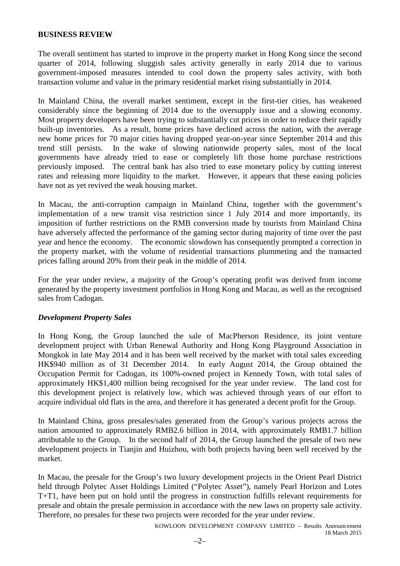### **BUSINESS REVIEW**

The overall sentiment has started to improve in the property market in Hong Kong since the second quarter of 2014, following sluggish sales activity generally in early 2014 due to various government-imposed measures intended to cool down the property sales activity, with both transaction volume and value in the primary residential market rising substantially in 2014.

In Mainland China, the overall market sentiment, except in the first-tier cities, has weakened considerably since the beginning of 2014 due to the oversupply issue and a slowing economy. Most property developers have been trying to substantially cut prices in order to reduce their rapidly built-up inventories. As a result, home prices have declined across the nation, with the average new home prices for 70 major cities having dropped year-on-year since September 2014 and this trend still persists. In the wake of slowing nationwide property sales, most of the local governments have already tried to ease or completely lift those home purchase restrictions previously imposed. The central bank has also tried to ease monetary policy by cutting interest rates and releasing more liquidity to the market. However, it appears that these easing policies have not as yet revived the weak housing market.

In Macau, the anti-corruption campaign in Mainland China, together with the government's implementation of a new transit visa restriction since 1 July 2014 and more importantly, its imposition of further restrictions on the RMB conversion made by tourists from Mainland China have adversely affected the performance of the gaming sector during majority of time over the past year and hence the economy. The economic slowdown has consequently prompted a correction in the property market, with the volume of residential transactions plummeting and the transacted prices falling around 20% from their peak in the middle of 2014.

For the year under review, a majority of the Group's operating profit was derived from income generated by the property investment portfolios in Hong Kong and Macau, as well as the recognised sales from Cadogan.

### *Development Property Sales*

In Hong Kong, the Group launched the sale of MacPherson Residence, its joint venture development project with Urban Renewal Authority and Hong Kong Playground Association in Mongkok in late May 2014 and it has been well received by the market with total sales exceeding HK\$940 million as of 31 December 2014. In early August 2014, the Group obtained the Occupation Permit for Cadogan, its 100%-owned project in Kennedy Town, with total sales of approximately HK\$1,400 million being recognised for the year under review. The land cost for this development project is relatively low, which was achieved through years of our effort to acquire individual old flats in the area, and therefore it has generated a decent profit for the Group.

In Mainland China, gross presales/sales generated from the Group's various projects across the nation amounted to approximately RMB2.6 billion in 2014, with approximately RMB1.7 billion attributable to the Group. In the second half of 2014, the Group launched the presale of two new development projects in Tianjin and Huizhou, with both projects having been well received by the market.

In Macau, the presale for the Group's two luxury development projects in the Orient Pearl District held through Polytec Asset Holdings Limited ("Polytec Asset"), namely Pearl Horizon and Lotes T+T1, have been put on hold until the progress in construction fulfills relevant requirements for presale and obtain the presale permission in accordance with the new laws on property sale activity. Therefore, no presales for these two projects were recorded for the year under review.

> KOWLOON DEVELOPMENT COMPANY LIMITED – Results Announcement 18 March 2015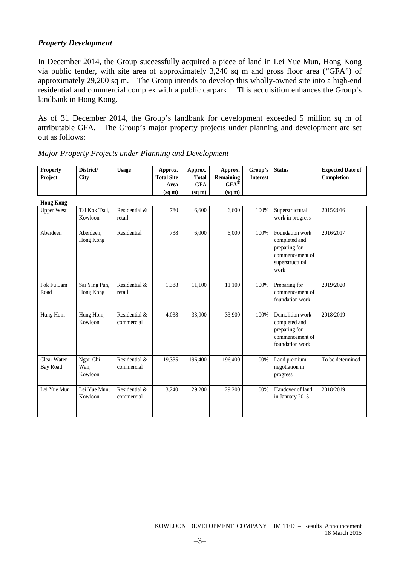# *Property Development*

**District/**

**Property**

In December 2014, the Group successfully acquired a piece of land in Lei Yue Mun, Hong Kong via public tender, with site area of approximately 3,240 sq m and gross floor area ("GFA") of approximately 29,200 sq m. The Group intends to develop this wholly-owned site into a high-end residential and commercial complex with a public carpark. This acquisition enhances the Group's landbank in Hong Kong.

As of 31 December 2014, the Group's landbank for development exceeded 5 million sq m of attributable GFA. The Group's major property projects under planning and development are set out as follows:

**Expected Date of** 

| <b>Property</b><br>Project     | District/<br>City           | <b>Usage</b>                | Approx.<br><b>Total Site</b><br>Area<br>(sq m) | Approx.<br><b>Total</b><br><b>GFA</b><br>(sq m) | Approx.<br>Remaining<br>$GFA^*$<br>$(sq \, \text{m})$ | Group's<br><b>Interest</b> | <b>Status</b>                                                                                   | <b>Expected Date of</b><br>Completion |
|--------------------------------|-----------------------------|-----------------------------|------------------------------------------------|-------------------------------------------------|-------------------------------------------------------|----------------------------|-------------------------------------------------------------------------------------------------|---------------------------------------|
| <b>Hong Kong</b>               |                             |                             |                                                |                                                 |                                                       |                            |                                                                                                 |                                       |
| <b>Upper West</b>              | Tai Kok Tsui,<br>Kowloon    | Residential &<br>retail     | 780                                            | 6,600                                           | 6,600                                                 | 100%                       | Superstructural<br>work in progress                                                             | 2015/2016                             |
| Aberdeen                       | Aberdeen,<br>Hong Kong      | Residential                 | 738                                            | 6,000                                           | 6,000                                                 | 100%                       | Foundation work<br>completed and<br>preparing for<br>commencement of<br>superstructural<br>work | 2016/2017                             |
| Pok Fu Lam<br>Road             | Sai Ying Pun,<br>Hong Kong  | Residential &<br>retail     | 1,388                                          | 11,100                                          | 11,100                                                | 100%                       | Preparing for<br>commencement of<br>foundation work                                             | 2019/2020                             |
| Hung Hom                       | Hung Hom,<br>Kowloon        | Residential &<br>commercial | 4,038                                          | 33,900                                          | 33,900                                                | 100%                       | Demolition work<br>completed and<br>preparing for<br>commencement of<br>foundation work         | 2018/2019                             |
| Clear Water<br><b>Bay Road</b> | Ngau Chi<br>Wan,<br>Kowloon | Residential &<br>commercial | 19,335                                         | 196,400                                         | 196,400                                               | 100%                       | Land premium<br>negotiation in<br>progress                                                      | To be determined                      |
| Lei Yue Mun                    | Lei Yue Mun,<br>Kowloon     | Residential &<br>commercial | 3,240                                          | 29,200                                          | 29,200                                                | 100%                       | Handover of land<br>in January 2015                                                             | 2018/2019                             |

### *Major Property Projects under Planning and Development*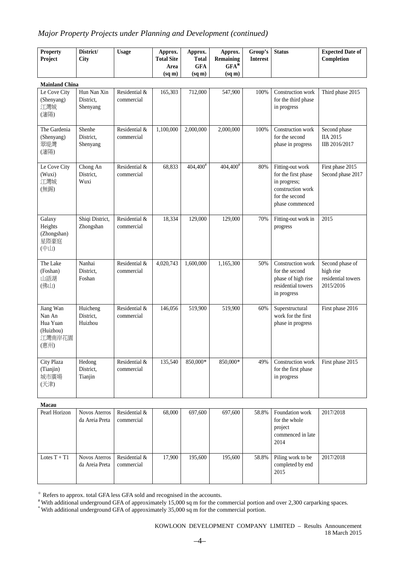# *Major Property Projects under Planning and Development (continued)*

| <b>Property</b><br>Project                                     | District/<br><b>City</b>             | <b>Usage</b>                | Approx.<br><b>Total Site</b><br>Area<br>$(sq \, \text{m})$ | Approx.<br><b>Total</b><br><b>GFA</b><br>$(sq \, \text{m})$ | Approx.<br><b>Remaining</b><br>$GFA^*$<br>(sq m) | Group's<br><b>Interest</b> | <b>Status</b>                                                                                                     | <b>Expected Date of</b><br>Completion                           |
|----------------------------------------------------------------|--------------------------------------|-----------------------------|------------------------------------------------------------|-------------------------------------------------------------|--------------------------------------------------|----------------------------|-------------------------------------------------------------------------------------------------------------------|-----------------------------------------------------------------|
| <b>Mainland China</b>                                          |                                      |                             |                                                            |                                                             |                                                  |                            |                                                                                                                   |                                                                 |
| Le Cove City<br>(Shenyang)<br>江灣城<br>(瀋陽)                      | Hun Nan Xin<br>District,<br>Shenyang | Residential &<br>commercial | 165,303                                                    | 712,000                                                     | 547,900                                          | 100%                       | Construction work<br>for the third phase<br>in progress                                                           | Third phase 2015                                                |
| The Gardenia<br>(Shenyang)<br>翠堤灣<br>(瀋陽)                      | Shenhe<br>District,<br>Shenyang      | Residential &<br>commercial | 1,100,000                                                  | 2,000,000                                                   | 2,000,000                                        | 100%                       | Construction work<br>for the second<br>phase in progress                                                          | Second phase<br><b>IIA 2015</b><br>IIB 2016/2017                |
| Le Cove City<br>(Wuxi)<br>江灣城<br>(無錫)                          | Chong An<br>District,<br>Wuxi        | Residential &<br>commercial | 68,833                                                     | $404,400^{#}$                                               | 404,400 <sup>#</sup>                             | 80%                        | Fitting-out work<br>for the first phase<br>in progress;<br>construction work<br>for the second<br>phase commenced | First phase 2015<br>Second phase 2017                           |
| Galaxy<br>Heights<br>(Zhongshan)<br>星際豪庭<br>(中山)               | Shiqi District,<br>Zhongshan         | Residential &<br>commercial | 18,334                                                     | 129,000                                                     | 129,000                                          | 70%                        | Fitting-out work in<br>progress                                                                                   | 2015                                                            |
| The Lake<br>(Foshan)<br>山語湖<br>(佛山)                            | Nanhai<br>District,<br>Foshan        | Residential &<br>commercial | 4,020,743                                                  | 1,600,000                                                   | 1,165,300                                        | 50%                        | Construction work<br>for the second<br>phase of high rise<br>residential towers<br>in progress                    | Second phase of<br>high rise<br>residential towers<br>2015/2016 |
| Jiang Wan<br>Nan An<br>Hua Yuan<br>(Huizhou)<br>江灣南岸花園<br>(惠州) | Huicheng<br>District,<br>Huizhou     | Residential &<br>commercial | 146,056                                                    | 519,900                                                     | 519,900                                          | 60%                        | Superstructural<br>work for the first<br>phase in progress                                                        | First phase 2016                                                |
| City Plaza<br>(Tianjin)<br>城市廣場<br>(天津)<br>$M_{0.00}$          | Hedong<br>District,<br>Tianjin       | Residential &<br>commercial | 135,540                                                    | 850,000*                                                    | 850,000*                                         | 49%                        | Construction work<br>for the first phase<br>in progress                                                           | First phase 2015                                                |

| ٠<br>×<br>I<br>I |
|------------------|
|------------------|

| .              |                                        |                             |        |         |         |       |                                                                          |           |
|----------------|----------------------------------------|-----------------------------|--------|---------|---------|-------|--------------------------------------------------------------------------|-----------|
| Pearl Horizon  | <b>Novos Aterros</b><br>da Areia Preta | Residential &<br>commercial | 68,000 | 697,600 | 697,600 | 58.8% | Foundation work<br>for the whole<br>project<br>commenced in late<br>2014 | 2017/2018 |
| Lotes $T + T1$ | Novos Aterros<br>da Areia Preta        | Residential &<br>commercial | 17.900 | 195,600 | 195,600 | 58.8% | Piling work to be<br>completed by end<br>2015                            | 2017/2018 |

※ Refers to approx. total GFA less GFA sold and recognised in the accounts.

# With additional underground GFA of approximately 15,000 sq m for the commercial portion and over 2,300 carparking spaces.

\* With additional underground GFA of approximately 35,000 sq m for the commercial portion.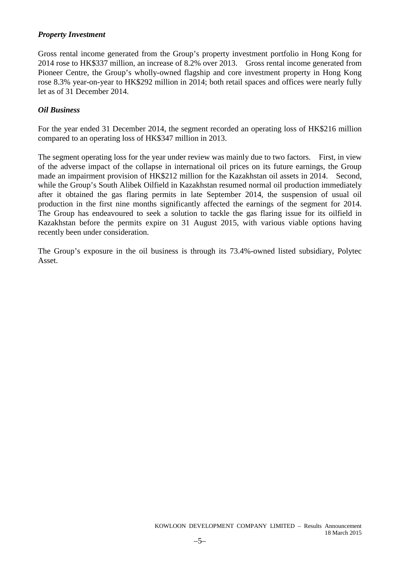### *Property Investment*

Gross rental income generated from the Group's property investment portfolio in Hong Kong for 2014 rose to HK\$337 million, an increase of 8.2% over 2013. Gross rental income generated from Pioneer Centre, the Group's wholly-owned flagship and core investment property in Hong Kong rose 8.3% year-on-year to HK\$292 million in 2014; both retail spaces and offices were nearly fully let as of 31 December 2014.

### *Oil Business*

For the year ended 31 December 2014, the segment recorded an operating loss of HK\$216 million compared to an operating loss of HK\$347 million in 2013.

The segment operating loss for the year under review was mainly due to two factors. First, in view of the adverse impact of the collapse in international oil prices on its future earnings, the Group made an impairment provision of HK\$212 million for the Kazakhstan oil assets in 2014. Second, while the Group's South Alibek Oilfield in Kazakhstan resumed normal oil production immediately after it obtained the gas flaring permits in late September 2014, the suspension of usual oil production in the first nine months significantly affected the earnings of the segment for 2014. The Group has endeavoured to seek a solution to tackle the gas flaring issue for its oilfield in Kazakhstan before the permits expire on 31 August 2015, with various viable options having recently been under consideration.

The Group's exposure in the oil business is through its 73.4%-owned listed subsidiary, Polytec Asset.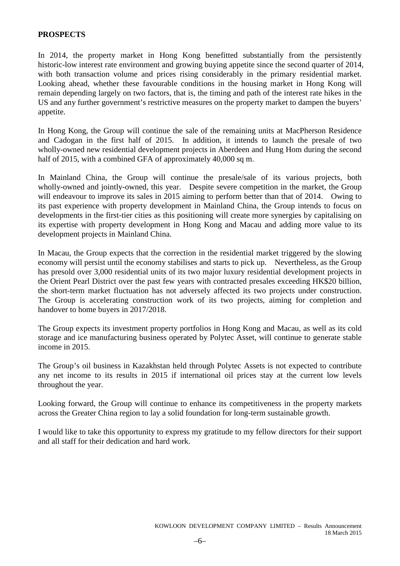### **PROSPECTS**

In 2014, the property market in Hong Kong benefitted substantially from the persistently historic-low interest rate environment and growing buying appetite since the second quarter of 2014, with both transaction volume and prices rising considerably in the primary residential market. Looking ahead, whether these favourable conditions in the housing market in Hong Kong will remain depending largely on two factors, that is, the timing and path of the interest rate hikes in the US and any further government's restrictive measures on the property market to dampen the buyers' appetite.

In Hong Kong, the Group will continue the sale of the remaining units at MacPherson Residence and Cadogan in the first half of 2015. In addition, it intends to launch the presale of two wholly-owned new residential development projects in Aberdeen and Hung Hom during the second half of 2015, with a combined GFA of approximately 40,000 sq m.

In Mainland China, the Group will continue the presale/sale of its various projects, both wholly-owned and jointly-owned, this year. Despite severe competition in the market, the Group will endeavour to improve its sales in 2015 aiming to perform better than that of 2014. Owing to its past experience with property development in Mainland China, the Group intends to focus on developments in the first-tier cities as this positioning will create more synergies by capitalising on its expertise with property development in Hong Kong and Macau and adding more value to its development projects in Mainland China.

In Macau, the Group expects that the correction in the residential market triggered by the slowing economy will persist until the economy stabilises and starts to pick up. Nevertheless, as the Group has presold over 3,000 residential units of its two major luxury residential development projects in the Orient Pearl District over the past few years with contracted presales exceeding HK\$20 billion, the short-term market fluctuation has not adversely affected its two projects under construction. The Group is accelerating construction work of its two projects, aiming for completion and handover to home buyers in 2017/2018.

The Group expects its investment property portfolios in Hong Kong and Macau, as well as its cold storage and ice manufacturing business operated by Polytec Asset, will continue to generate stable income in 2015.

The Group's oil business in Kazakhstan held through Polytec Assets is not expected to contribute any net income to its results in 2015 if international oil prices stay at the current low levels throughout the year.

Looking forward, the Group will continue to enhance its competitiveness in the property markets across the Greater China region to lay a solid foundation for long-term sustainable growth.

I would like to take this opportunity to express my gratitude to my fellow directors for their support and all staff for their dedication and hard work.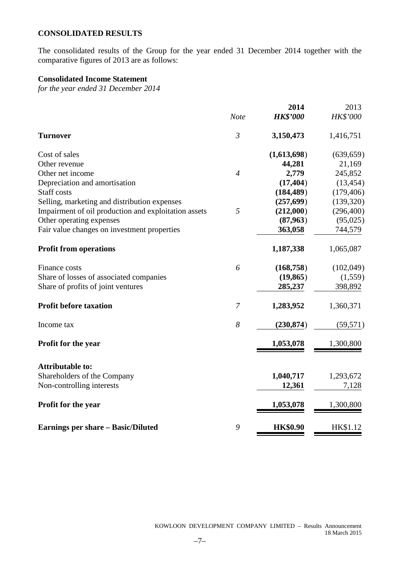# **CONSOLIDATED RESULTS**

The consolidated results of the Group for the year ended 31 December 2014 together with the comparative figures of 2013 are as follows:

# **Consolidated Income Statement**

*for the year ended 31 December 2014*

|                                                      |                | 2014            | 2013       |
|------------------------------------------------------|----------------|-----------------|------------|
|                                                      | <b>Note</b>    | <b>HK\$'000</b> | HK\$'000   |
| <b>Turnover</b>                                      | $\mathfrak{Z}$ | 3,150,473       | 1,416,751  |
| Cost of sales                                        |                | (1,613,698)     | (639, 659) |
| Other revenue                                        |                | 44,281          | 21,169     |
| Other net income                                     | $\overline{4}$ | 2,779           | 245,852    |
| Depreciation and amortisation                        |                | (17, 404)       | (13, 454)  |
| <b>Staff</b> costs                                   |                | (184, 489)      | (179, 406) |
| Selling, marketing and distribution expenses         |                | (257, 699)      | (139, 320) |
| Impairment of oil production and exploitation assets | 5              | (212,000)       | (296, 400) |
| Other operating expenses                             |                | (87, 963)       | (95,025)   |
| Fair value changes on investment properties          |                | 363,058         | 744,579    |
| <b>Profit from operations</b>                        |                | 1,187,338       | 1,065,087  |
| Finance costs                                        | 6              | (168, 758)      | (102,049)  |
| Share of losses of associated companies              |                | (19, 865)       | (1,559)    |
| Share of profits of joint ventures                   |                | 285,237         | 398,892    |
| <b>Profit before taxation</b>                        | 7              | 1,283,952       | 1,360,371  |
| Income tax                                           | 8              | (230, 874)      | (59, 571)  |
| <b>Profit for the year</b>                           |                | 1,053,078       | 1,300,800  |
| <b>Attributable to:</b>                              |                |                 |            |
| Shareholders of the Company                          |                | 1,040,717       | 1,293,672  |
| Non-controlling interests                            |                | 12,361          | 7,128      |
| Profit for the year                                  |                | 1,053,078       | 1,300,800  |
| <b>Earnings per share - Basic/Diluted</b>            | 9              | <b>HK\$0.90</b> | HK\$1.12   |
|                                                      |                |                 |            |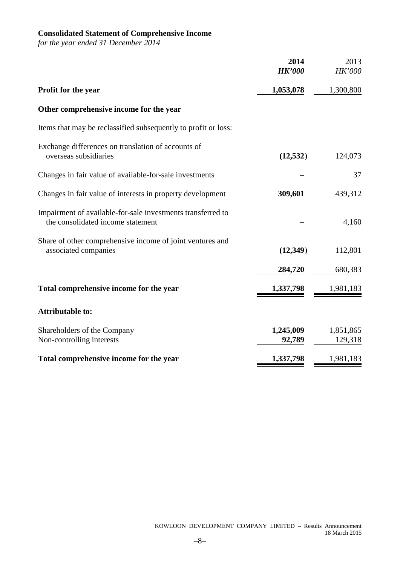# **Consolidated Statement of Comprehensive Income**

*for the year ended 31 December 2014*

|                                                                                                  | 2014<br><b>HK'000</b> | 2013<br><b>HK'000</b> |
|--------------------------------------------------------------------------------------------------|-----------------------|-----------------------|
| Profit for the year                                                                              | 1,053,078             | 1,300,800             |
| Other comprehensive income for the year                                                          |                       |                       |
| Items that may be reclassified subsequently to profit or loss:                                   |                       |                       |
| Exchange differences on translation of accounts of<br>overseas subsidiaries                      | (12, 532)             | 124,073               |
| Changes in fair value of available-for-sale investments                                          |                       | 37                    |
| Changes in fair value of interests in property development                                       | 309,601               | 439,312               |
| Impairment of available-for-sale investments transferred to<br>the consolidated income statement |                       | 4,160                 |
| Share of other comprehensive income of joint ventures and<br>associated companies                | (12, 349)             | 112,801               |
|                                                                                                  | 284,720               | 680,383               |
| Total comprehensive income for the year                                                          | 1,337,798             | 1,981,183             |
| <b>Attributable to:</b>                                                                          |                       |                       |
| Shareholders of the Company<br>Non-controlling interests                                         | 1,245,009<br>92,789   | 1,851,865<br>129,318  |
| Total comprehensive income for the year                                                          | 1,337,798             | 1,981,183             |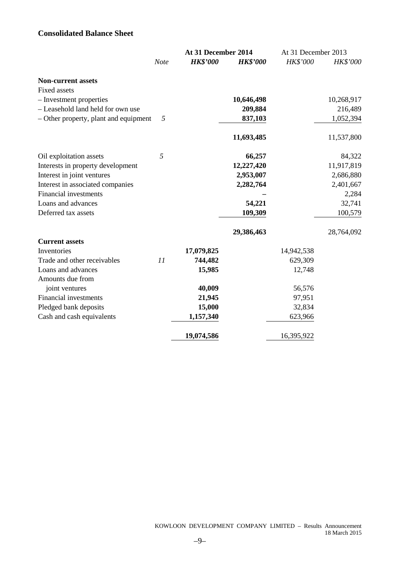# **Consolidated Balance Sheet**

|                                       |      | At 31 December 2014 | At 31 December 2013 |            |            |  |
|---------------------------------------|------|---------------------|---------------------|------------|------------|--|
|                                       | Note | <b>HK\$'000</b>     | <b>HK\$'000</b>     | HK\$'000   | HK\$'000   |  |
| Non-current assets                    |      |                     |                     |            |            |  |
| <b>Fixed assets</b>                   |      |                     |                     |            |            |  |
| - Investment properties               |      |                     | 10,646,498          |            | 10,268,917 |  |
| - Leasehold land held for own use     |      |                     | 209,884             |            | 216,489    |  |
| - Other property, plant and equipment | 5    |                     | 837,103             |            | 1,052,394  |  |
|                                       |      |                     | 11,693,485          |            | 11,537,800 |  |
| Oil exploitation assets               | 5    |                     | 66,257              |            | 84,322     |  |
| Interests in property development     |      |                     | 12,227,420          |            | 11,917,819 |  |
| Interest in joint ventures            |      |                     | 2,953,007           |            | 2,686,880  |  |
| Interest in associated companies      |      |                     | 2,282,764           |            | 2,401,667  |  |
| <b>Financial investments</b>          |      |                     |                     |            | 2,284      |  |
| Loans and advances                    |      |                     | 54,221              |            | 32,741     |  |
| Deferred tax assets                   |      |                     | 109,309             |            | 100,579    |  |
|                                       |      |                     | 29,386,463          |            | 28,764,092 |  |
| <b>Current assets</b>                 |      |                     |                     |            |            |  |
| Inventories                           |      | 17,079,825          |                     | 14,942,538 |            |  |
| Trade and other receivables           | 11   | 744,482             |                     | 629,309    |            |  |
| Loans and advances                    |      | 15,985              |                     | 12,748     |            |  |
| Amounts due from                      |      |                     |                     |            |            |  |
| joint ventures                        |      | 40,009              |                     | 56,576     |            |  |
| Financial investments                 |      | 21,945              |                     | 97,951     |            |  |
| Pledged bank deposits                 |      | 15,000              |                     | 32,834     |            |  |
| Cash and cash equivalents             |      | 1,157,340           |                     | 623,966    |            |  |
|                                       |      | 19,074,586          |                     | 16,395,922 |            |  |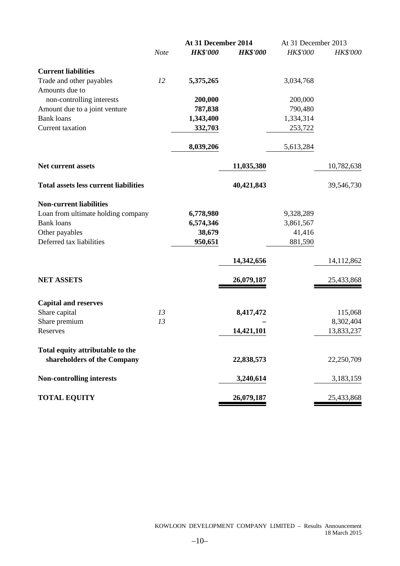|                                              |      | At 31 December 2014 |                 | At 31 December 2013 |                 |
|----------------------------------------------|------|---------------------|-----------------|---------------------|-----------------|
|                                              | Note | <b>HK\$'000</b>     | <b>HK\$'000</b> | <b>HK\$'000</b>     | <b>HK\$'000</b> |
| <b>Current liabilities</b>                   |      |                     |                 |                     |                 |
| Trade and other payables                     | 12   | 5,375,265           |                 | 3,034,768           |                 |
| Amounts due to                               |      |                     |                 |                     |                 |
| non-controlling interests                    |      | 200,000             |                 | 200,000             |                 |
| Amount due to a joint venture                |      | 787,838             |                 | 790,480             |                 |
| <b>Bank loans</b>                            |      | 1,343,400           |                 | 1,334,314           |                 |
| Current taxation                             |      | 332,703             |                 | 253,722             |                 |
|                                              |      | 8,039,206           |                 | 5,613,284           |                 |
| <b>Net current assets</b>                    |      |                     | 11,035,380      |                     | 10,782,638      |
| <b>Total assets less current liabilities</b> |      |                     | 40,421,843      |                     | 39,546,730      |
| <b>Non-current liabilities</b>               |      |                     |                 |                     |                 |
| Loan from ultimate holding company           |      | 6,778,980           |                 | 9,328,289           |                 |
| <b>Bank loans</b>                            |      | 6,574,346           |                 | 3,861,567           |                 |
| Other payables                               |      | 38,679              |                 | 41,416              |                 |
| Deferred tax liabilities                     |      | 950,651             |                 | 881,590             |                 |
|                                              |      |                     | 14,342,656      |                     | 14,112,862      |
| <b>NET ASSETS</b>                            |      |                     | 26,079,187      |                     | 25,433,868      |
| <b>Capital and reserves</b>                  |      |                     |                 |                     |                 |
| Share capital                                | 13   |                     | 8,417,472       |                     | 115,068         |
| Share premium                                | 13   |                     |                 |                     | 8,302,404       |
| Reserves                                     |      |                     | 14,421,101      |                     | 13,833,237      |
| Total equity attributable to the             |      |                     |                 |                     |                 |
| shareholders of the Company                  |      |                     | 22,838,573      |                     | 22,250,709      |
| <b>Non-controlling interests</b>             |      |                     | 3,240,614       |                     | 3,183,159       |
| <b>TOTAL EQUITY</b>                          |      |                     | 26,079,187      |                     | 25,433,868      |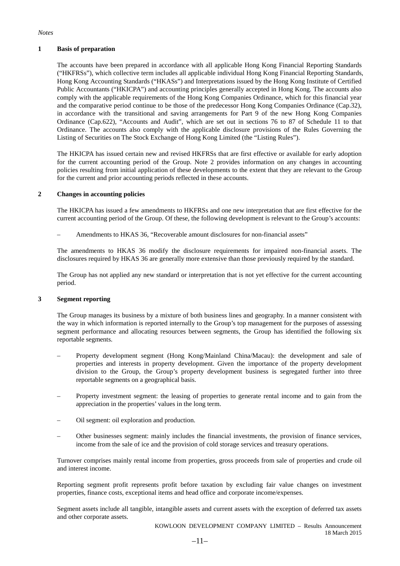#### *Notes*

#### **1 Basis of preparation**

The accounts have been prepared in accordance with all applicable Hong Kong Financial Reporting Standards ("HKFRSs"), which collective term includes all applicable individual Hong Kong Financial Reporting Standards, Hong Kong Accounting Standards ("HKASs") and Interpretations issued by the Hong Kong Institute of Certified Public Accountants ("HKICPA") and accounting principles generally accepted in Hong Kong. The accounts also comply with the applicable requirements of the Hong Kong Companies Ordinance, which for this financial year and the comparative period continue to be those of the predecessor Hong Kong Companies Ordinance (Cap.32), in accordance with the transitional and saving arrangements for Part 9 of the new Hong Kong Companies Ordinance (Cap.622), "Accounts and Audit", which are set out in sections 76 to 87 of Schedule 11 to that Ordinance. The accounts also comply with the applicable disclosure provisions of the Rules Governing the Listing of Securities on The Stock Exchange of Hong Kong Limited (the "Listing Rules").

The HKICPA has issued certain new and revised HKFRSs that are first effective or available for early adoption for the current accounting period of the Group. Note 2 provides information on any changes in accounting policies resulting from initial application of these developments to the extent that they are relevant to the Group for the current and prior accounting periods reflected in these accounts.

#### **2 Changes in accounting policies**

The HKICPA has issued a few amendments to HKFRSs and one new interpretation that are first effective for the current accounting period of the Group. Of these, the following development is relevant to the Group's accounts:

– Amendments to HKAS 36, "Recoverable amount disclosures for non-financial assets"

The amendments to HKAS 36 modify the disclosure requirements for impaired non-financial assets. The disclosures required by HKAS 36 are generally more extensive than those previously required by the standard.

The Group has not applied any new standard or interpretation that is not yet effective for the current accounting period.

### **3 Segment reporting**

The Group manages its business by a mixture of both business lines and geography. In a manner consistent with the way in which information is reported internally to the Group's top management for the purposes of assessing segment performance and allocating resources between segments, the Group has identified the following six reportable segments.

- Property development segment (Hong Kong/Mainland China/Macau): the development and sale of properties and interests in property development. Given the importance of the property development division to the Group, the Group's property development business is segregated further into three reportable segments on a geographical basis.
- Property investment segment: the leasing of properties to generate rental income and to gain from the appreciation in the properties' values in the long term.
- Oil segment: oil exploration and production.
- Other businesses segment: mainly includes the financial investments, the provision of finance services, income from the sale of ice and the provision of cold storage services and treasury operations.

Turnover comprises mainly rental income from properties, gross proceeds from sale of properties and crude oil and interest income.

Reporting segment profit represents profit before taxation by excluding fair value changes on investment properties, finance costs, exceptional items and head office and corporate income/expenses.

Segment assets include all tangible, intangible assets and current assets with the exception of deferred tax assets and other corporate assets.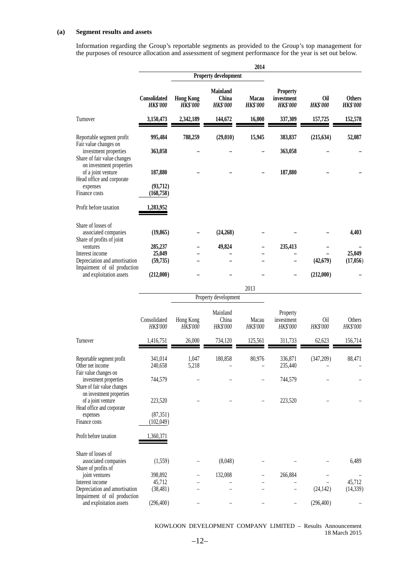#### **(a) Segment results and assets**

Information regarding the Group's reportable segments as provided to the Group's top management for the purposes of resource allocation and assessment of segment performance for the year is set out below.

|                                                                             |                                 |                                     |                                             | 2014                     |                                                  |                        |                                  |
|-----------------------------------------------------------------------------|---------------------------------|-------------------------------------|---------------------------------------------|--------------------------|--------------------------------------------------|------------------------|----------------------------------|
|                                                                             |                                 |                                     | Property development                        |                          |                                                  |                        |                                  |
|                                                                             | Consolidated<br><b>HK\$'000</b> | <b>Hong Kong</b><br><b>HK\$'000</b> | <b>Mainland</b><br>China<br><b>HK\$'000</b> | Macau<br><b>HK\$'000</b> | <b>Property</b><br>investment<br><b>HK\$'000</b> | Oil<br><b>HK\$'000</b> | <b>Others</b><br><b>HK\$'000</b> |
| Turnover                                                                    | 3,150,473                       | 2,342,189                           | 144,672                                     | 16,000                   | 337,309                                          | 157,725                | 152,578                          |
| Reportable segment profit<br>Fair value changes on                          | 995,484                         | 788,259                             | (29,010)                                    | 15,945                   | 383,837                                          | (215, 634)             | 52,087                           |
| investment properties<br>Share of fair value changes                        | 363,058                         |                                     |                                             |                          | 363,058                                          |                        |                                  |
| on investment properties<br>of a joint venture<br>Head office and corporate | 187,880                         |                                     |                                             |                          | 187,880                                          |                        |                                  |
| expenses<br>Finance costs                                                   | (93,712)<br>(168, 758)          |                                     |                                             |                          |                                                  |                        |                                  |
| Profit before taxation                                                      | 1,283,952                       |                                     |                                             |                          |                                                  |                        |                                  |
| Share of losses of<br>associated companies<br>Share of profits of joint     | (19, 865)                       |                                     | (24, 268)                                   |                          |                                                  |                        | 4,403                            |
| ventures                                                                    | 285,237                         |                                     | 49,824                                      |                          | 235,413                                          |                        |                                  |
| Interest income<br>Depreciation and amortisation                            | 25,049                          |                                     |                                             |                          |                                                  | (42, 679)              | 25,049<br>(17,056)               |
| Impairment of oil production<br>and exploitation assets                     | (59, 735)<br>(212,000)          |                                     |                                             |                          |                                                  | (212,000)              |                                  |
|                                                                             |                                 |                                     |                                             | 2013                     |                                                  |                        |                                  |
|                                                                             |                                 |                                     | Property development                        |                          |                                                  |                        |                                  |
|                                                                             |                                 |                                     |                                             |                          |                                                  |                        |                                  |
|                                                                             | Consolidated<br>HK\$'000        | Hong Kong<br>HK\$'000               | Mainland<br>China<br>HK\$'000               | Macau<br>HK\$'000        | Property<br>investment<br>HK\$'000               | Oil<br>HK\$'000        | Others<br>HK\$'000               |
| Turnover                                                                    | 1,416,751                       | 26,000                              | 734,120                                     | 125,561                  | 311,733                                          | 62,623                 | 156,714                          |
| Reportable segment profit<br>Other net income<br>Fair value changes on      | 341,014<br>240,658              | 1,047<br>5,218                      | 180,858                                     | 80,976                   | 336,871<br>235,440                               | (347,209)              | 88,471                           |
| investment properties<br>Share of fair value changes                        | 744,579                         |                                     |                                             |                          | 744,579                                          |                        |                                  |
| on investment properties<br>of a joint venture<br>Head office and corporate | 223,520                         |                                     |                                             |                          | 223,520                                          |                        |                                  |
| expenses<br>Finance costs                                                   | (87, 351)<br>(102,049)          |                                     |                                             |                          |                                                  |                        |                                  |
| Profit before taxation                                                      | 1,360,371                       |                                     |                                             |                          |                                                  |                        |                                  |
| Share of losses of<br>associated companies<br>Share of profits of           | (1,559)                         |                                     | (8,048)                                     |                          |                                                  |                        | 6,489                            |
| joint ventures                                                              | 398,892                         |                                     | 132,008                                     |                          | 266,884                                          |                        |                                  |
| Interest income<br>Depreciation and amortisation                            | 45,712<br>(38, 481)             |                                     |                                             |                          |                                                  | (24, 142)              | 45,712<br>(14, 339)              |
| Impairment of oil production                                                |                                 |                                     |                                             |                          |                                                  |                        |                                  |
| and exploitation assets                                                     | (296, 400)                      |                                     |                                             |                          |                                                  | (296, 400)             |                                  |

KOWLOON DEVELOPMENT COMPANY LIMITED – Results Announcement 18 March 2015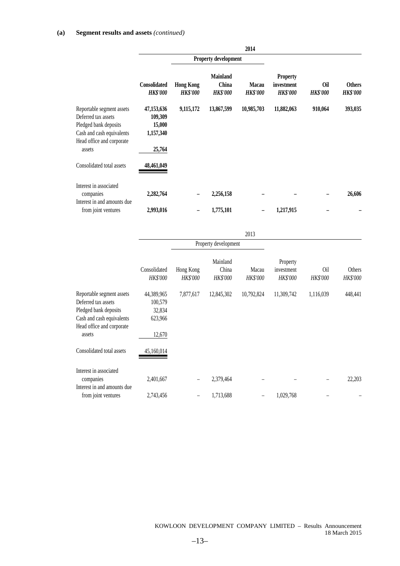|                                                                                                                                               |                                                        |                                     |                                             | 2014                            |                                                  |                               |                                  |
|-----------------------------------------------------------------------------------------------------------------------------------------------|--------------------------------------------------------|-------------------------------------|---------------------------------------------|---------------------------------|--------------------------------------------------|-------------------------------|----------------------------------|
|                                                                                                                                               |                                                        |                                     | Property development                        |                                 |                                                  |                               |                                  |
|                                                                                                                                               | Consolidated<br><b>HK\$'000</b>                        | <b>Hong Kong</b><br><b>HK\$'000</b> | <b>Mainland</b><br>China<br><b>HK\$'000</b> | <b>Macau</b><br><b>HK\$'000</b> | <b>Property</b><br>investment<br><b>HK\$'000</b> | <b>Oil</b><br><b>HK\$'000</b> | <b>Others</b><br><b>HK\$'000</b> |
| Reportable segment assets<br>Deferred tax assets<br>Pledged bank deposits<br>Cash and cash equivalents<br>Head office and corporate<br>assets | 47,153,636<br>109,309<br>15,000<br>1,157,340<br>25,764 | 9,115,172                           | 13,867,599                                  | 10,985,703                      | 11,882,063                                       | 910,064                       | 393,035                          |
| Consolidated total assets                                                                                                                     | 48,461,049                                             |                                     |                                             |                                 |                                                  |                               |                                  |
| Interest in associated<br>companies<br>Interest in and amounts due                                                                            | 2,282,764                                              |                                     | 2,256,158                                   |                                 |                                                  |                               | 26,606                           |
| from joint ventures                                                                                                                           | 2,993,016                                              |                                     | 1,775,101                                   |                                 | 1,217,915                                        |                               |                                  |

|                                                                                                                                               |                                                      |                              |                               | 2013              |                                           |                 |                           |
|-----------------------------------------------------------------------------------------------------------------------------------------------|------------------------------------------------------|------------------------------|-------------------------------|-------------------|-------------------------------------------|-----------------|---------------------------|
|                                                                                                                                               |                                                      |                              | Property development          |                   |                                           |                 |                           |
|                                                                                                                                               | Consolidated<br><b>HK\$'000</b>                      | Hong Kong<br><b>HK\$'000</b> | Mainland<br>China<br>HK\$'000 | Macau<br>HK\$'000 | Property<br>investment<br><b>HK\$'000</b> | 0il<br>HK\$'000 | Others<br><b>HK\$'000</b> |
| Reportable segment assets<br>Deferred tax assets<br>Pledged bank deposits<br>Cash and cash equivalents<br>Head office and corporate<br>assets | 44,389,965<br>100,579<br>32,834<br>623,966<br>12,670 | 7,877,617                    | 12,845,302                    | 10,792,824        | 11,309,742                                | 1,116,039       | 448,441                   |
| Consolidated total assets                                                                                                                     | 45,160,014                                           |                              |                               |                   |                                           |                 |                           |
| Interest in associated<br>companies<br>Interest in and amounts due                                                                            | 2,401,667                                            | -                            | 2,379,464                     |                   |                                           |                 | 22,203                    |
| from joint ventures                                                                                                                           | 2,743,456                                            | -                            | 1,713,688                     |                   | 1,029,768                                 |                 |                           |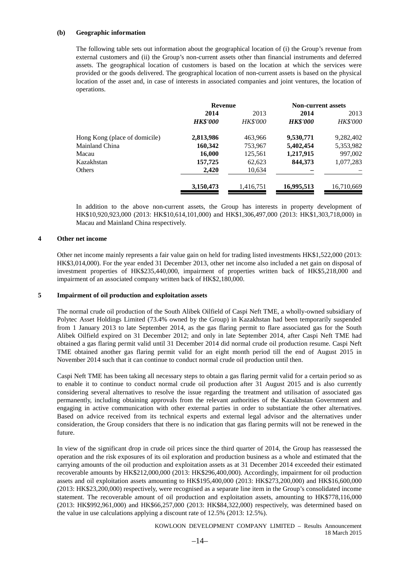#### **(b) Geographic information**

The following table sets out information about the geographical location of (i) the Group's revenue from external customers and (ii) the Group's non-current assets other than financial instruments and deferred assets. The geographical location of customers is based on the location at which the services were provided or the goods delivered. The geographical location of non-current assets is based on the physical location of the asset and, in case of interests in associated companies and joint ventures, the location of operations.

|                               | <b>Revenue</b>  |                 | <b>Non-current assets</b> |                 |
|-------------------------------|-----------------|-----------------|---------------------------|-----------------|
|                               | 2014<br>2013    |                 | 2014                      | 2013            |
|                               | <b>HK\$'000</b> | <b>HK\$'000</b> | <b>HK\$'000</b>           | <b>HK\$'000</b> |
| Hong Kong (place of domicile) | 2,813,986       | 463,966         | 9,530,771                 | 9,282,402       |
| Mainland China                | 160,342         | 753,967         | 5,402,454                 | 5,353,982       |
| Macau                         | 16,000          | 125,561         | 1,217,915                 | 997,002         |
| Kazakhstan                    | 157,725         | 62,623          | 844,373                   | 1,077,283       |
| Others                        | 2,420           | 10,634          |                           |                 |
|                               | 3,150,473       | 1,416,751       | 16,995,513                | 16,710,669      |

In addition to the above non-current assets, the Group has interests in property development of HK\$10,920,923,000 (2013: HK\$10,614,101,000) and HK\$1,306,497,000 (2013: HK\$1,303,718,000) in Macau and Mainland China respectively.

#### **4 Other net income**

Other net income mainly represents a fair value gain on held for trading listed investments HK\$1,522,000 (2013: HK\$3,014,000). For the year ended 31 December 2013, other net income also included a net gain on disposal of investment properties of HK\$235,440,000, impairment of properties written back of HK\$5,218,000 and impairment of an associated company written back of HK\$2,180,000.

#### **5 Impairment of oil production and exploitation assets**

The normal crude oil production of the South Alibek Oilfield of Caspi Neft TME, a wholly-owned subsidiary of Polytec Asset Holdings Limited (73.4% owned by the Group) in Kazakhstan had been temporarily suspended from 1 January 2013 to late September 2014, as the gas flaring permit to flare associated gas for the South Alibek Oilfield expired on 31 December 2012; and only in late September 2014, after Caspi Neft TME had obtained a gas flaring permit valid until 31 December 2014 did normal crude oil production resume. Caspi Neft TME obtained another gas flaring permit valid for an eight month period till the end of August 2015 in November 2014 such that it can continue to conduct normal crude oil production until then.

Caspi Neft TME has been taking all necessary steps to obtain a gas flaring permit valid for a certain period so as to enable it to continue to conduct normal crude oil production after 31 August 2015 and is also currently considering several alternatives to resolve the issue regarding the treatment and utilisation of associated gas permanently, including obtaining approvals from the relevant authorities of the Kazakhstan Government and engaging in active communication with other external parties in order to substantiate the other alternatives. Based on advice received from its technical experts and external legal advisor and the alternatives under consideration, the Group considers that there is no indication that gas flaring permits will not be renewed in the future.

In view of the significant drop in crude oil prices since the third quarter of 2014, the Group has reassessed the operation and the risk exposures of its oil exploration and production business as a whole and estimated that the carrying amounts of the oil production and exploitation assets as at 31 December 2014 exceeded their estimated recoverable amounts by HK\$212,000,000 (2013: HK\$296,400,000). Accordingly, impairment for oil production assets and oil exploitation assets amounting to HK\$195,400,000 (2013: HK\$273,200,000) and HK\$16,600,000 (2013: HK\$23,200,000) respectively, were recognised as a separate line item in the Group's consolidated income statement. The recoverable amount of oil production and exploitation assets, amounting to HK\$778,116,000 (2013: HK\$992,961,000) and HK\$66,257,000 (2013: HK\$84,322,000) respectively, was determined based on the value in use calculations applying a discount rate of 12.5% (2013: 12.5%).

> KOWLOON DEVELOPMENT COMPANY LIMITED – Results Announcement 18 March 2015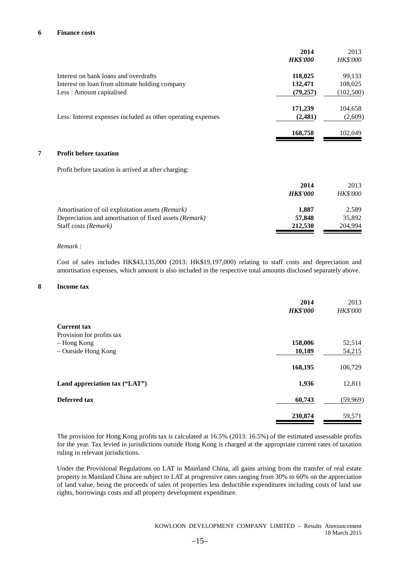#### **6 Finance costs**

|   |                                                              | 2014            | 2013            |
|---|--------------------------------------------------------------|-----------------|-----------------|
|   |                                                              | <b>HK\$'000</b> | <b>HK\$'000</b> |
|   | Interest on bank loans and overdrafts                        | 118,025         | 99,133          |
|   | Interest on loan from ultimate holding company               | 132,471         | 108,025         |
|   | Less: Amount capitalised                                     | (79, 257)       | (102,500)       |
|   |                                                              | 171,239         | 104,658         |
|   | Less: Interest expenses included as other operating expenses | (2,481)         | (2,609)         |
|   |                                                              | 168,758         | 102,049         |
| 7 | <b>Profit before taxation</b>                                |                 |                 |
|   | Profit before taxation is arrived at after charging:         |                 |                 |
|   |                                                              | 2014            | 2013            |
|   |                                                              | <b>HK\$'000</b> | <b>HK\$'000</b> |
|   | Amortisation of oil exploitation assets (Remark)             | 1,887           | 2,589           |
|   | Depreciation and amortisation of fixed assets (Remark)       | 57,848          | 35,892          |
|   | Staff costs (Remark)                                         | 212,530         | 204,994         |

#### *Remark :*

Cost of sales includes HK\$43,135,000 (2013: HK\$19,197,000) relating to staff costs and depreciation and amortisation expenses, which amount is also included in the respective total amounts disclosed separately above.

#### **8 Income tax**

|                               | 2014<br><b>HK\$'000</b> | 2013<br>HK\$'000 |
|-------------------------------|-------------------------|------------------|
| <b>Current tax</b>            |                         |                  |
| Provision for profits tax     |                         |                  |
| – Hong Kong                   | 158,006                 | 52,514           |
| - Outside Hong Kong           | 10,189                  | 54,215           |
|                               | 168,195                 | 106,729          |
| Land appreciation tax ("LAT") | 1,936                   | 12,811           |
| Deferred tax                  | 60,743                  | (59,969)         |
|                               | 230,874                 | 59,571           |

The provision for Hong Kong profits tax is calculated at 16.5% (2013: 16.5%) of the estimated assessable profits for the year. Tax levied in jurisdictions outside Hong Kong is charged at the appropriate current rates of taxation ruling in relevant jurisdictions.

Under the Provisional Regulations on LAT in Mainland China, all gains arising from the transfer of real estate property in Mainland China are subject to LAT at progressive rates ranging from 30% to 60% on the appreciation of land value, being the proceeds of sales of properties less deductible expenditures including costs of land use rights, borrowings costs and all property development expenditure.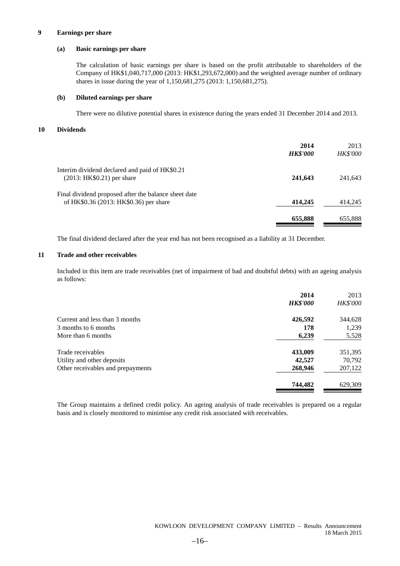#### **9 Earnings per share**

#### **(a) Basic earnings per share**

The calculation of basic earnings per share is based on the profit attributable to shareholders of the Company of HK\$1,040,717,000 (2013: HK\$1,293,672,000) and the weighted average number of ordinary shares in issue during the year of 1,150,681,275 (2013: 1,150,681,275).

#### **(b) Diluted earnings per share**

There were no dilutive potential shares in existence during the years ended 31 December 2014 and 2013.

#### **10 Dividends**

|                                                                                                | 2014<br><b>HK\$'000</b> | 2013<br><b>HK\$'000</b> |
|------------------------------------------------------------------------------------------------|-------------------------|-------------------------|
| Interim dividend declared and paid of HK\$0.21<br>$(2013: HK$0.21)$ per share                  | 241,643                 | 241,643                 |
| Final dividend proposed after the balance sheet date<br>of HK\$0.36 (2013: HK\$0.36) per share | 414,245                 | 414,245                 |
|                                                                                                | 655,888                 | 655,888                 |

The final dividend declared after the year end has not been recognised as a liability at 31 December.

#### **11 Trade and other receivables**

Included in this item are trade receivables (net of impairment of bad and doubtful debts) with an ageing analysis as follows:

|                                   | 2014            | 2013            |
|-----------------------------------|-----------------|-----------------|
|                                   | <b>HK\$'000</b> | <b>HK\$'000</b> |
| Current and less than 3 months    | 426,592         | 344,628         |
| 3 months to 6 months              | 178             | 1,239           |
| More than 6 months                | 6,239           | 5,528           |
| Trade receivables                 | 433,009         | 351,395         |
| Utility and other deposits        | 42,527          | 70,792          |
| Other receivables and prepayments | 268,946         | 207,122         |
|                                   | 744,482         | 629,309         |

The Group maintains a defined credit policy. An ageing analysis of trade receivables is prepared on a regular basis and is closely monitored to minimise any credit risk associated with receivables.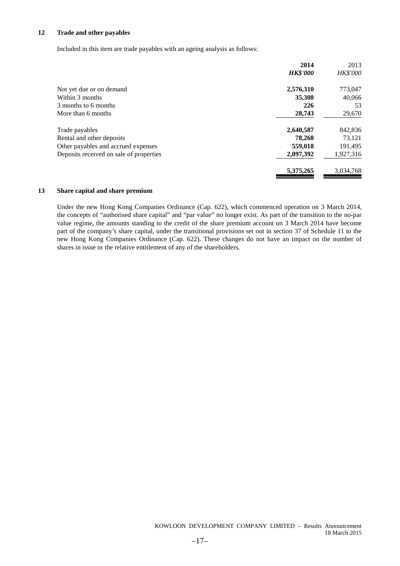#### **12 Trade and other payables**

Included in this item are trade payables with an ageing analysis as follows:

|                                         | 2014            | 2013      |
|-----------------------------------------|-----------------|-----------|
|                                         | <b>HK\$'000</b> | HK\$'000  |
| Not yet due or on demand                | 2,576,310       | 773,047   |
| Within 3 months                         | 35,308          | 40,066    |
| 3 months to 6 months                    | 226             | 53        |
| More than 6 months                      | 28,743          | 29,670    |
| Trade payables                          | 2,640,587       | 842,836   |
| Rental and other deposits               | 78,268          | 73,121    |
| Other payables and accrued expenses     | 559,018         | 191,495   |
| Deposits received on sale of properties | 2,097,392       | 1,927,316 |
|                                         | 5,375,265       | 3,034,768 |
|                                         |                 |           |

#### **13 Share capital and share premium**

Under the new Hong Kong Companies Ordinance (Cap. 622), which commenced operation on 3 March 2014, the concepts of "authorised share capital" and "par value" no longer exist. As part of the transition to the no-par value regime, the amounts standing to the credit of the share premium account on 3 March 2014 have become part of the company's share capital, under the transitional provisions set out in section 37 of Schedule 11 to the new Hong Kong Companies Ordinance (Cap. 622). These changes do not have an impact on the number of shares in issue or the relative entitlement of any of the shareholders.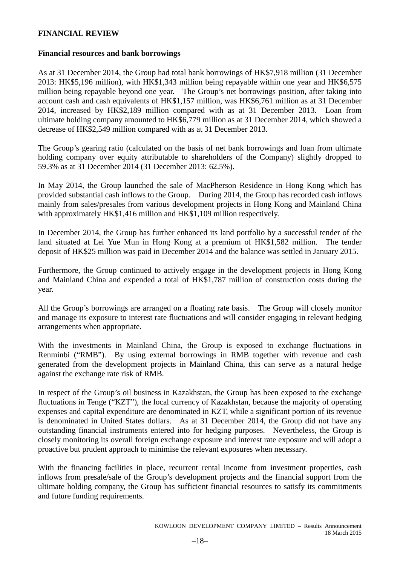### **FINANCIAL REVIEW**

### **Financial resources and bank borrowings**

As at 31 December 2014, the Group had total bank borrowings of HK\$7,918 million (31 December 2013: HK\$5,196 million), with HK\$1,343 million being repayable within one year and HK\$6,575 million being repayable beyond one year. The Group's net borrowings position, after taking into account cash and cash equivalents of HK\$1,157 million, was HK\$6,761 million as at 31 December 2014, increased by HK\$2,189 million compared with as at 31 December 2013. Loan from ultimate holding company amounted to HK\$6,779 million as at 31 December 2014, which showed a decrease of HK\$2,549 million compared with as at 31 December 2013.

The Group's gearing ratio (calculated on the basis of net bank borrowings and loan from ultimate holding company over equity attributable to shareholders of the Company) slightly dropped to 59.3% as at 31 December 2014 (31 December 2013: 62.5%).

In May 2014, the Group launched the sale of MacPherson Residence in Hong Kong which has provided substantial cash inflows to the Group. During 2014, the Group has recorded cash inflows mainly from sales/presales from various development projects in Hong Kong and Mainland China with approximately HK\$1,416 million and HK\$1,109 million respectively.

In December 2014, the Group has further enhanced its land portfolio by a successful tender of the land situated at Lei Yue Mun in Hong Kong at a premium of HK\$1,582 million. The tender deposit of HK\$25 million was paid in December 2014 and the balance was settled in January 2015.

Furthermore, the Group continued to actively engage in the development projects in Hong Kong and Mainland China and expended a total of HK\$1,787 million of construction costs during the year.

All the Group's borrowings are arranged on a floating rate basis. The Group will closely monitor and manage its exposure to interest rate fluctuations and will consider engaging in relevant hedging arrangements when appropriate.

With the investments in Mainland China, the Group is exposed to exchange fluctuations in Renminbi ("RMB"). By using external borrowings in RMB together with revenue and cash generated from the development projects in Mainland China, this can serve as a natural hedge against the exchange rate risk of RMB.

In respect of the Group's oil business in Kazakhstan, the Group has been exposed to the exchange fluctuations in Tenge ("KZT"), the local currency of Kazakhstan, because the majority of operating expenses and capital expenditure are denominated in KZT, while a significant portion of its revenue is denominated in United States dollars. As at 31 December 2014, the Group did not have any outstanding financial instruments entered into for hedging purposes. Nevertheless, the Group is closely monitoring its overall foreign exchange exposure and interest rate exposure and will adopt a proactive but prudent approach to minimise the relevant exposures when necessary.

With the financing facilities in place, recurrent rental income from investment properties, cash inflows from presale/sale of the Group's development projects and the financial support from the ultimate holding company, the Group has sufficient financial resources to satisfy its commitments and future funding requirements.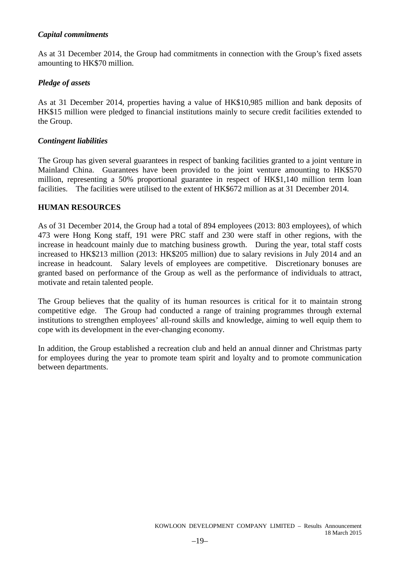# *Capital commitments*

As at 31 December 2014, the Group had commitments in connection with the Group's fixed assets amounting to HK\$70 million.

### *Pledge of assets*

As at 31 December 2014, properties having a value of HK\$10,985 million and bank deposits of HK\$15 million were pledged to financial institutions mainly to secure credit facilities extended to the Group.

### *Contingent liabilities*

The Group has given several guarantees in respect of banking facilities granted to a joint venture in Mainland China. Guarantees have been provided to the joint venture amounting to HK\$570 million, representing a 50% proportional guarantee in respect of HK\$1,140 million term loan facilities. The facilities were utilised to the extent of HK\$672 million as at 31 December 2014.

### **HUMAN RESOURCES**

As of 31 December 2014, the Group had a total of 894 employees (2013: 803 employees), of which 473 were Hong Kong staff, 191 were PRC staff and 230 were staff in other regions, with the increase in headcount mainly due to matching business growth. During the year, total staff costs increased to HK\$213 million (2013: HK\$205 million) due to salary revisions in July 2014 and an increase in headcount. Salary levels of employees are competitive. Discretionary bonuses are granted based on performance of the Group as well as the performance of individuals to attract, motivate and retain talented people.

The Group believes that the quality of its human resources is critical for it to maintain strong competitive edge. The Group had conducted a range of training programmes through external institutions to strengthen employees' all-round skills and knowledge, aiming to well equip them to cope with its development in the ever-changing economy.

In addition, the Group established a recreation club and held an annual dinner and Christmas party for employees during the year to promote team spirit and loyalty and to promote communication between departments.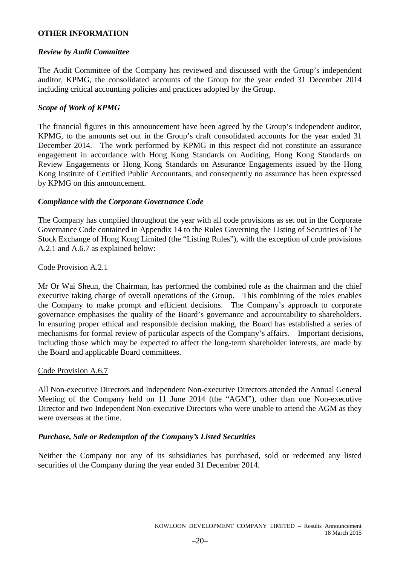# **OTHER INFORMATION**

### *Review by Audit Committee*

The Audit Committee of the Company has reviewed and discussed with the Group's independent auditor, KPMG, the consolidated accounts of the Group for the year ended 31 December 2014 including critical accounting policies and practices adopted by the Group.

# *Scope of Work of KPMG*

The financial figures in this announcement have been agreed by the Group's independent auditor, KPMG, to the amounts set out in the Group's draft consolidated accounts for the year ended 31 December 2014. The work performed by KPMG in this respect did not constitute an assurance engagement in accordance with Hong Kong Standards on Auditing, Hong Kong Standards on Review Engagements or Hong Kong Standards on Assurance Engagements issued by the Hong Kong Institute of Certified Public Accountants, and consequently no assurance has been expressed by KPMG on this announcement.

### *Compliance with the Corporate Governance Code*

The Company has complied throughout the year with all code provisions as set out in the Corporate Governance Code contained in Appendix 14 to the Rules Governing the Listing of Securities of The Stock Exchange of Hong Kong Limited (the "Listing Rules"), with the exception of code provisions A.2.1 and A.6.7 as explained below:

### Code Provision A.2.1

Mr Or Wai Sheun, the Chairman, has performed the combined role as the chairman and the chief executive taking charge of overall operations of the Group. This combining of the roles enables the Company to make prompt and efficient decisions. The Company's approach to corporate governance emphasises the quality of the Board's governance and accountability to shareholders. In ensuring proper ethical and responsible decision making, the Board has established a series of mechanisms for formal review of particular aspects of the Company's affairs. Important decisions, including those which may be expected to affect the long-term shareholder interests, are made by the Board and applicable Board committees.

### Code Provision A.6.7

All Non-executive Directors and Independent Non-executive Directors attended the Annual General Meeting of the Company held on 11 June 2014 (the "AGM"), other than one Non-executive Director and two Independent Non-executive Directors who were unable to attend the AGM as they were overseas at the time.

# *Purchase, Sale or Redemption of the Company's Listed Securities*

Neither the Company nor any of its subsidiaries has purchased, sold or redeemed any listed securities of the Company during the year ended 31 December 2014.